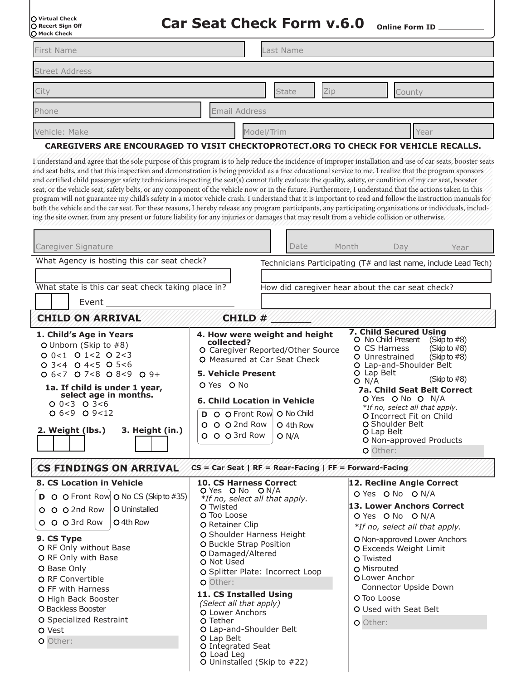| O Virtual Check<br>O Recert Sign Off<br>O Mock Check |
|------------------------------------------------------|
|                                                      |
|                                                      |

**Car Seat Check Form v.6.0 Online Form ID**

| , riven encen         |               |        |
|-----------------------|---------------|--------|
| First Name            | Last Name     |        |
| <b>Street Address</b> |               |        |
| City                  | State<br>Zip  | County |
| Phone                 | Email Address |        |
| Vehicle: Make         | Model/Trim    | Year   |

## **CAREGIVERS ARE ENCOURAGED TO VISIT CHECKTOPROTECT.ORG TO CHECK FOR VEHICLE RECALLS.**

I understand and agree that the sole purpose of this program is to help reduce the incidence of improper installation and use of car seats, booster seats and seat belts, and that this inspection and demonstration is being provided as a free educational service to me. I realize that the program sponsors and certified child passenger safety technicians inspecting the seat(s) cannot fully evaluate the quality, safety, or condition of my car seat, booster seat, or the vehicle seat, safety belts, or any component of the vehicle now or in the future. Furthermore, I understand that the actions taken in this program will not guarantee my child's safety in a motor vehicle crash. I understand that it is important to read and follow the instruction manuals for both the vehicle and the car seat. For these reasons, I hereby release any program participants, any participating organizations or individuals, including the site owner, from any present or future liability for any injuries or damages that may result from a vehicle collision or otherwise.

| Caregiver Signature                                                                                                                                                                                                                                                                                                                                                                             | Date                                                                                                                                                                                                                                                                                                                                                                                                                                                                                                                                            | Month<br>Day and the Day<br>Year                                                                                                                                                                                                                                                                                                                                                                    |  |  |
|-------------------------------------------------------------------------------------------------------------------------------------------------------------------------------------------------------------------------------------------------------------------------------------------------------------------------------------------------------------------------------------------------|-------------------------------------------------------------------------------------------------------------------------------------------------------------------------------------------------------------------------------------------------------------------------------------------------------------------------------------------------------------------------------------------------------------------------------------------------------------------------------------------------------------------------------------------------|-----------------------------------------------------------------------------------------------------------------------------------------------------------------------------------------------------------------------------------------------------------------------------------------------------------------------------------------------------------------------------------------------------|--|--|
| What Agency is hosting this car seat check?<br>What state is this car seat check taking place in?<br>Event                                                                                                                                                                                                                                                                                      |                                                                                                                                                                                                                                                                                                                                                                                                                                                                                                                                                 | Technicians Participating (T# and last name, include Lead Tech)<br>How did caregiver hear about the car seat check?                                                                                                                                                                                                                                                                                 |  |  |
| <b>CHILD ON ARRIVAL</b><br>CHILD #                                                                                                                                                                                                                                                                                                                                                              |                                                                                                                                                                                                                                                                                                                                                                                                                                                                                                                                                 |                                                                                                                                                                                                                                                                                                                                                                                                     |  |  |
| 1. Child's Age in Years<br>O Unborn (Skip to $#8$ )<br>$00<1$ 0 1 < 2 0 2 < 3<br>$O$ 3<4 $O$ 4<5 $O$ 5<6<br>$Q$ 6 < 7 $Q$ 7 < 8 $Q$ 8 < 9 $Q$ 9 +<br>1a. If child is under 1 year,<br>select age in months.<br>$Q$ 0 < 3 \ $Q$ 3 < 6<br>$O_6 < 9$ $O_9 < 12$<br>2. Weight (lbs.)<br>3. Height (in.)                                                                                             | 4. How were weight and height<br>collected?<br>O Caregiver Reported/Other Source<br>O Measured at Car Seat Check<br><b>5. Vehicle Present</b><br>O Yes O No<br><b>6. Child Location in Vehicle</b><br>D O O Front Row O No Child<br>O O O 2nd Row<br>O 4th Row<br>O O O 3rd Row<br>O N/A                                                                                                                                                                                                                                                        | 7. Child Secured Using<br>O No Child Present (Skip to #8)<br>O CS Harness<br>(Skip to #8)<br>O Unrestrained<br>(Skip to $#8$ )<br>O Lap-and-Shoulder Belt<br>O Lap Belt<br>(Skip to $#8$ )<br>O N/A<br><b>7a. Child Seat Belt Correct</b><br>O Yes O No O N/A<br>*If no, select all that apply.<br>O Incorrect Fit on Child<br>O Shoulder Belt<br>O Lap Belt<br>O Non-approved Products<br>O Other: |  |  |
| <b>CS FINDINGS ON ARRIVAL</b><br>8. CS Location in Vehicle<br><b>D</b> O O Front Row O No CS (Skip to #35)<br>O Uninstalled<br>O O O 2nd Row<br>O O O 3rd Row<br>O 4th Row<br>9. CS Type<br>O RF Only without Base<br>O RF Only with Base<br>O Base Only<br>O RF Convertible<br>O FF with Harness<br>O High Back Booster<br>O Backless Booster<br>O Specialized Restraint<br>O Vest<br>O Other: | $CS = Car$ Seat   RF = Rear-Facing   FF = Forward-Facing<br><b>10. CS Harness Correct</b><br>O Yes O No O N/A<br>*If no, select all that apply.<br>O Twisted<br>O Too Loose<br><b>O</b> Retainer Clip<br>O Shoulder Harness Height<br>O Buckle Strap Position<br>O Damaged/Altered<br>O Not Used<br>O Splitter Plate: Incorrect Loop<br>O Other:<br>11. CS Installed Using<br>(Select all that apply)<br>O Lower Anchors<br>O Tether<br>O Lap-and-Shoulder Belt<br>O Lap Belt<br>O Integrated Seat<br>O Load Leg<br>O Uninstalled (Skip to #22) | 12. Recline Angle Correct<br>O Yes O No O N/A<br>13. Lower Anchors Correct<br>O Yes O No O N/A<br>*If no, select all that apply.<br>O Non-approved Lower Anchors<br>O Exceeds Weight Limit<br>O Twisted<br>O Misrouted<br>O Lower Anchor<br>Connector Upside Down<br>O Too Loose<br>O Used with Seat Belt<br>O Other:                                                                               |  |  |